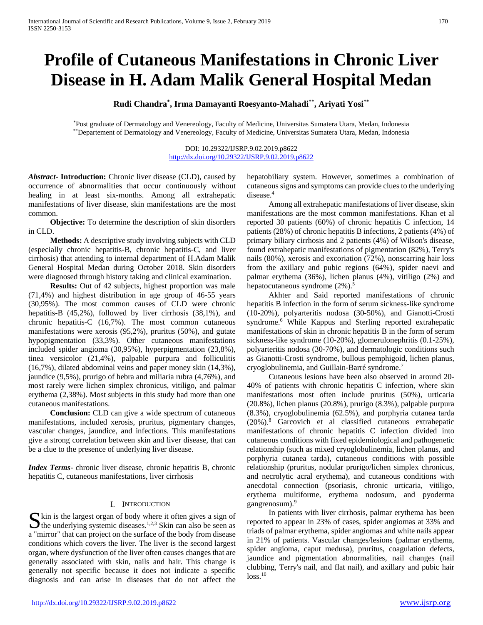# **Profile of Cutaneous Manifestations in Chronic Liver Disease in H. Adam Malik General Hospital Medan**

**Rudi Chandra\* , Irma Damayanti Roesyanto-Mahadi\*\*, Ariyati Yosi\*\***

\*Post graduate of Dermatology and Venereology, Faculty of Medicine, Universitas Sumatera Utara, Medan, Indonesia \*\*Departement of Dermatology and Venereology, Faculty of Medicine, Universitas Sumatera Utara, Medan, Indonesia

> DOI: 10.29322/IJSRP.9.02.2019.p8622 <http://dx.doi.org/10.29322/IJSRP.9.02.2019.p8622>

*Abstract***- Introduction:** Chronic liver disease (CLD), caused by occurrence of abnormalities that occur continuously without healing in at least six-months. Among all extrahepatic manifestations of liver disease, skin manifestations are the most common.

 **Objective:** To determine the description of skin disorders in CLD.

 **Methods:** A descriptive study involving subjects with CLD (especially chronic hepatitis-B, chronic hepatitis-C, and liver cirrhosis) that attending to internal department of H.Adam Malik General Hospital Medan during October 2018. Skin disorders were diagnosed through history taking and clinical examination.

 **Results:** Out of 42 subjects, highest proportion was male (71,4%) and highest distribution in age group of 46-55 years (30,95%). The most common causes of CLD were chronic hepatitis-B (45,2%), followed by liver cirrhosis (38,1%), and chronic hepatitis-C (16,7%). The most common cutaneous manifestations were xerosis (95,2%), pruritus (50%), and gutate hypopigmentation (33,3%). Other cutaneous manifestations included spider angioma (30,95%), hyperpigmentation (23,8%), tinea versicolor (21,4%), palpable purpura and folliculitis (16,7%), dilated abdominal veins and paper money skin (14,3%), jaundice (9,5%), prurigo of hebra and miliaria rubra (4,76%), and most rarely were lichen simplex chronicus, vitiligo, and palmar erythema (2,38%). Most subjects in this study had more than one cutaneous manifestations.

 **Conclusion:** CLD can give a wide spectrum of cutaneous manifestations, included xerosis, pruritus, pigmentary changes, vascular changes, jaundice, and infections. This manifestations give a strong correlation between skin and liver disease, that can be a clue to the presence of underlying liver disease.

*Index Terms*- chronic liver disease, chronic hepatitis B, chronic hepatitis C, cutaneous manifestations, liver cirrhosis

# I. INTRODUCTION

 $\Gamma$  kin is the largest organ of body where it often gives a sign of  $\sum$  kin is the largest organ of body where it often gives a sign of the underlying systemic diseases.<sup>1,2,3</sup> Skin can also be seen as a "mirror" that can project on the surface of the body from disease conditions which covers the liver. The liver is the second largest organ, where dysfunction of the liver often causes changes that are generally associated with skin, nails and hair. This change is generally not specific because it does not indicate a specific diagnosis and can arise in diseases that do not affect the

hepatobiliary system. However, sometimes a combination of cutaneous signs and symptoms can provide clues to the underlying disease.<sup>4</sup>

 Among all extrahepatic manifestations of liver disease, skin manifestations are the most common manifestations. Khan et al reported 30 patients (60%) of chronic hepatitis C infection, 14 patients (28%) of chronic hepatitis B infections, 2 patients (4%) of primary biliary cirrhosis and 2 patients (4%) of Wilson's disease, found extrahepatic manifestations of pigmentation (82%), Terry's nails (80%), xerosis and excoriation (72%), nonscarring hair loss from the axillary and pubic regions (64%), spider naevi and palmar erythema (36%), lichen planus (4%), vitiligo (2%) and hepatocutaneous syndrome  $(2\%)$ .<sup>5</sup>

 Akhter and Said reported manifestations of chronic hepatitis B infection in the form of serum sickness-like syndrome (10-20%), polyarteritis nodosa (30-50%), and Gianotti-Crosti syndrome.<sup>6</sup> While Kappus and Sterling reported extrahepatic manifestations of skin in chronic hepatitis B in the form of serum sickness-like syndrome (10-20%), glomerulonephritis (0.1-25%), polyarteritis nodosa (30-70%), and dermatologic conditions such as Gianotti-Crosti syndrome, bullous pemphigoid, lichen planus, cryoglobulinemia, and Guillain-Barré syndrome.7

 Cutaneous lesions have been also observed in around 20- 40% of patients with chronic hepatitis C infection, where skin manifestations most often include pruritus (50%), urticaria (20.8%), lichen planus (20.8%), prurigo (8.3%), palpable purpura (8.3%), cryoglobulinemia (62.5%), and porphyria cutanea tarda (20%).8 Garcovich et al classified cutaneous extrahepatic manifestations of chronic hepatitis C infection divided into cutaneous conditions with fixed epidemiological and pathogenetic relationship (such as mixed cryoglobulinemia, lichen planus, and porphyria cutanea tarda), cutaneous conditions with possible relationship (pruritus, nodular prurigo/lichen simplex chronicus, and necrolytic acral erythema), and cutaneous conditions with anecdotal connection (psoriasis, chronic urticaria, vitiligo, erythema multiforme, erythema nodosum, and pyoderma gangrenosum).9

 In patients with liver cirrhosis, palmar erythema has been reported to appear in 23% of cases, spider angiomas at 33% and triads of palmar erythema, spider angiomas and white nails appear in 21% of patients. Vascular changes/lesions (palmar erythema, spider angioma, caput medusa), pruritus, coagulation defects, jaundice and pigmentation abnormalities, nail changes (nail clubbing, Terry's nail, and flat nail), and axillary and pubic hair  $loss.<sup>10</sup>$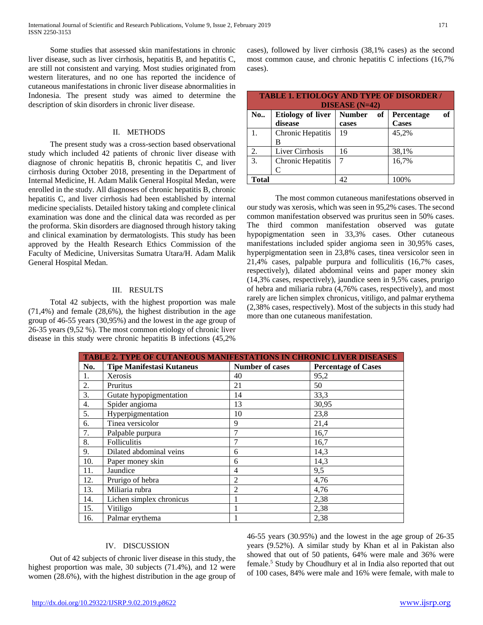Some studies that assessed skin manifestations in chronic liver disease, such as liver cirrhosis, hepatitis B, and hepatitis C, are still not consistent and varying. Most studies originated from western literatures, and no one has reported the incidence of cutaneous manifestations in chronic liver disease abnormalities in Indonesia. The present study was aimed to determine the description of skin disorders in chronic liver disease.

# II. METHODS

 The present study was a cross-section based observational study which included 42 patients of chronic liver disease with diagnose of chronic hepatitis B, chronic hepatitis C, and liver cirrhosis during October 2018, presenting in the Department of Internal Medicine, H. Adam Malik General Hospital Medan, were enrolled in the study. All diagnoses of chronic hepatitis B, chronic hepatitis C, and liver cirrhosis had been established by internal medicine specialists. Detailed history taking and complete clinical examination was done and the clinical data was recorded as per the proforma. Skin disorders are diagnosed through history taking and clinical examination by dermatologists. This study has been approved by the Health Research Ethics Commission of the Faculty of Medicine, Universitas Sumatra Utara/H. Adam Malik General Hospital Medan.

# III. RESULTS

 Total 42 subjects, with the highest proportion was male (71,4%) and female (28,6%), the highest distribution in the age group of 46-55 years (30,95%) and the lowest in the age group of 26-35 years (9,52 %). The most common etiology of chronic liver disease in this study were chronic hepatitis B infections (45,2%

cases), followed by liver cirrhosis (38,1% cases) as the second most common cause, and chronic hepatitis C infections (16,7% cases).

| <b>TABLE 1. ETIOLOGY AND TYPE OF DISORDER /</b><br><b>DISEASE</b> $(N=42)$ |                                     |                              |                           |  |  |
|----------------------------------------------------------------------------|-------------------------------------|------------------------------|---------------------------|--|--|
| <b>No</b>                                                                  | <b>Etiology of liver</b><br>disease | <b>Number</b><br>of<br>cases | of<br>Percentage<br>Cases |  |  |
| $\mathbf{1}$ .                                                             | Chronic Hepatitis<br>В              | 19                           | 45,2%                     |  |  |
| 2.                                                                         | Liver Cirrhosis                     | 16                           | 38,1%                     |  |  |
| $\overline{3}$ .                                                           | Chronic Hepatitis<br>C              | 7                            | 16,7%                     |  |  |
| Total                                                                      |                                     | 42                           | 100%                      |  |  |

The most common cutaneous manifestations observed in our study was xerosis, which was seen in 95,2% cases. The second common manifestation observed was pruritus seen in 50% cases. The third common manifestation observed was gutate hypopigmentation seen in 33,3% cases. Other cutaneous manifestations included spider angioma seen in 30,95% cases, hyperpigmentation seen in 23,8% cases, tinea versicolor seen in 21,4% cases, palpable purpura and folliculitis (16,7% cases, respectively), dilated abdominal veins and paper money skin (14,3% cases, respectively), jaundice seen in 9,5% cases, prurigo of hebra and miliaria rubra (4,76% cases, respectively), and most rarely are lichen simplex chronicus, vitiligo, and palmar erythema (2,38% cases, respectively). Most of the subjects in this study had more than one cutaneous manifestation.

| TABLE 2. TYPE OF CUTANEOUS MANIFESTATIONS IN CHRONIC LIVER DISEASES |                                  |                        |                            |  |  |
|---------------------------------------------------------------------|----------------------------------|------------------------|----------------------------|--|--|
| No.                                                                 | <b>Tipe Manifestasi Kutaneus</b> | <b>Number of cases</b> | <b>Percentage of Cases</b> |  |  |
| 1.                                                                  | Xerosis                          | 40                     | 95,2                       |  |  |
| 2.                                                                  | Pruritus                         | 21                     | 50                         |  |  |
| 3.                                                                  | Gutate hypopigmentation          | 14                     | 33,3                       |  |  |
| 4.                                                                  | Spider angioma                   | 13                     | 30,95                      |  |  |
| 5.                                                                  | Hyperpigmentation                | 10                     | 23,8                       |  |  |
| 6.                                                                  | Tinea versicolor                 | 9                      | 21,4                       |  |  |
| 7.                                                                  | Palpable purpura                 | 7                      | 16,7                       |  |  |
| 8.                                                                  | Folliculitis                     | 7                      | 16,7                       |  |  |
| 9.                                                                  | Dilated abdominal veins          | 6                      | 14,3                       |  |  |
| 10.                                                                 | Paper money skin                 | 6                      | 14,3                       |  |  |
| 11.                                                                 | Jaundice                         | $\overline{4}$         | 9,5                        |  |  |
| 12.                                                                 | Prurigo of hebra                 | $\overline{2}$         | 4,76                       |  |  |
| 13.                                                                 | Miliaria rubra                   | $\overline{2}$         | 4,76                       |  |  |
| 14.                                                                 | Lichen simplex chronicus         |                        | 2,38                       |  |  |
| 15.                                                                 | Vitiligo                         |                        | 2,38                       |  |  |
| 16.                                                                 | Palmar erythema                  |                        | 2,38                       |  |  |

# IV. DISCUSSION

 Out of 42 subjects of chronic liver disease in this study, the highest proportion was male, 30 subjects (71.4%), and 12 were women (28.6%), with the highest distribution in the age group of 46-55 years (30.95%) and the lowest in the age group of 26-35 years (9.52%). A similar study by Khan et al in Pakistan also showed that out of 50 patients, 64% were male and 36% were female.5 Study by Choudhury et al in India also reported that out of 100 cases, 84% were male and 16% were female, with male to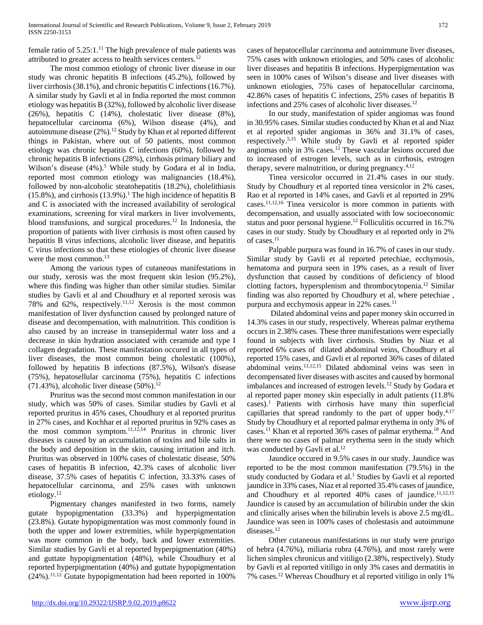female ratio of 5.25:1.11 The high prevalence of male patients was attributed to greater access to health services centers.12

 The most common etiology of chronic liver disease in our study was chronic hepatitis B infections (45.2%), followed by liver cirrhosis (38.1%), and chronic hepatitis C infections (16.7%). A similar study by Gavli et al in India reported the most common etiology was hepatitis B (32%), followed by alcoholic liver disease (26%), hepatitis C (14%), cholestatic liver disease (8%), hepatocellular carcinoma (6%), Wilson disease (4%), and autoimmune disease  $(2\%)$ .<sup>12</sup> Study by Khan et al reported different things in Pakistan, where out of 50 patients, most common etiology was chronic hepatitis C infections (60%), followed by chronic hepatitis B infections (28%), cirrhosis primary biliary and Wilson's disease (4%).<sup>5</sup> While study by Godara et al in India, reported most common etiology was malignancies (18.4%), followed by non-alcoholic steatohepatitis (18.2%), cholelithiasis  $(15.8\%)$ , and cirrhosis  $(13.9\%)$ .<sup>1</sup> The high incidence of hepatitis B and C is associated with the increased availability of serological examinations, screening for viral markers in liver involvements, blood transfusions, and surgical procedures.<sup>12</sup> In Indonesia, the proportion of patients with liver cirrhosis is most often caused by hepatitis B virus infections, alcoholic liver disease, and hepatitis C virus infections so that these etiologies of chronic liver disease were the most common.<sup>13</sup>

 Among the various types of cutaneous manifestations in our study, xerosis was the most frequent skin lesion (95.2%), where this finding was higher than other similar studies. Similar studies by Gavli et al and Choudhury et al reported xerosis was 78% and 62%, respectively.<sup>11,12</sup> Xerosis is the most common manifestation of liver dysfunction caused by prolonged nature of disease and decompensation, with malnutrition. This condition is also caused by an increase in transepidermal water loss and a decrease in skin hydration associated with ceramide and type I collagen degradation. These manifestation occured in all types of liver diseases, the most common being cholestatic (100%), followed by hepatitis B infections (87.5%), Wilson's disease (75%), hepatosellular carcinoma (75%), hepatitis C infections  $(71.43%)$ , alcoholic liver disease  $(50%)$ .<sup>12</sup>

 Pruritus was the second most common manifestation in our study, which was 50% of cases. Similar studies by Gavli et al reported pruritus in 45% cases, Choudhury et al reported pruritus in 27% cases, and Kochhar et al reported pruritus in 92% cases as the most common symptom.<sup>11,12,14</sup> Pruritus in chronic liver diseases is caused by an accumulation of toxins and bile salts in the body and deposition in the skin, causing irritation and itch. Pruritus was observed in 100% cases of cholestatic disease, 50% cases of hepatitis B infection, 42.3% cases of alcoholic liver disease, 37.5% cases of hepatitis C infection, 33.33% cases of hepatocellular carcinoma, and 25% cases with unknown etiology.12

 Pigmentary changes manifested in two forms, namely gutate hypopigmentation (33.3%) and hyperpigmentation (23.8%). Gutate hypopigmentation was most commonly found in both the upper and lower extremities, while hyperpigmentation was more common in the body, back and lower extremities. Similar studies by Gavli et al reported hyperpigmentation (40%) and guttate hypopigmentation (48%), while Choudhury et al reported hyperpigmentation (40%) and guttate hypopigmentation  $(24\%)$ .<sup>11,12</sup> Gutate hypopigmentation had been reported in 100%

cases of hepatocellular carcinoma and autoimmune liver diseases, 75% cases with unknown etiologies, and 50% cases of alcoholic liver diseases and hepatitis B infections. Hyperpigmentation was seen in 100% cases of Wilson's disease and liver diseases with unknown etiologies, 75% cases of hepatocellular carcinoma, 42.86% cases of hepatitis C infections, 25% cases of hepatitis B infections and 25% cases of alcoholic liver diseases.<sup>12</sup>

 In our study, manifestation of spider angiomas was found in 30.95% cases. Similar studies conducted by Khan et al and Niaz et al reported spider angiomas in 36% and 31.1% of cases, respectively.5,15 While study by Gavli et al reported spider angiomas only in 3% cases.12 These vascular lesions occured due to increased of estrogen levels, such as in cirrhosis, estrogen therapy, severe malnutrition, or during pregnancy. $4,12$ 

 Tinea versicolor occurred in 21.4% cases in our study. Study by Choudhury et al reported tinea versicolor in 2% cases, Rao et al reported in 14% cases, and Gavli et al reported in 29% cases.11,12,16 Tinea versicolor is more common in patients with decompensation, and usually associated with low socioeconomic status and poor personal hygiene.<sup>12</sup> Folliculitis occurred in 16.7% cases in our study. Study by Choudhury et al reported only in 2% of cases.11

 Palpable purpura was found in 16.7% of cases in our study. Similar study by Gavli et al reported petechiae, ecchymosis, hematoma and purpura seen in 19% cases, as a result of liver dysfunction that caused by conditions of deficiency of blood clotting factors, hypersplenism and thrombocytopenia.12 Similar finding was also reported by Choudhury et al, where petechiae , purpura and ecchymosis appear in 22% cases.<sup>11</sup>

 Dilated abdominal veins and paper money skin occurred in 14.3% cases in our study, respectively. Whereas palmar erythema occurs in 2.38% cases. These three manifestations were especially found in subjects with liver cirrhosis. Studies by Niaz et al reported 6% cases of dilated abdominal veins, Choudhury et al reported 15% cases, and Gavli et al reported 36% cases of dilated abdominal veins.11,12,15 Dilated abdominal veins was seen in decompensated liver diseases with ascites and caused by hormonal imbalances and increased of estrogen levels.12 Study by Godara et al reported paper money skin especially in adult patients (11.8% cases).1 Patients with cirrhosis have many thin superficial capillaries that spread randomly to the part of upper body. $4,17$ Study by Choudhury et al reported palmar erythema in only 3% of cases.11 Khan et al reported 36% cases of palmar erythema.18 And there were no cases of palmar erythema seen in the study which was conducted by Gavli et al.<sup>12</sup>

 Jaundice occured in 9.5% cases in our study. Jaundice was reported to be the most common manifestation (79.5%) in the study conducted by Godara et al.<sup>1</sup> Studies by Gavli et al reported jaundice in 33% cases, Niaz et al reported 35.4% cases of jaundice, and Choudhury et al reported  $40\%$  cases of jaundice.<sup>11,12,15</sup> Jaundice is caused by an accumulation of bilirubin under the skin and clinically arises when the bilirubin levels is above 2.5 mg/dL. Jaundice was seen in 100% cases of cholestasis and autoimmune diseases.<sup>12</sup>

 Other cutaneous manifestations in our study were prurigo of hebra (4.76%), miliaria rubra (4.76%), and most rarely were lichen simplex chronicus and vitiligo (2.38%, respectively). Study by Gavli et al reported vitiligo in only 3% cases and dermatitis in 7% cases.12 Whereas Choudhury et al reported vitiligo in only 1%